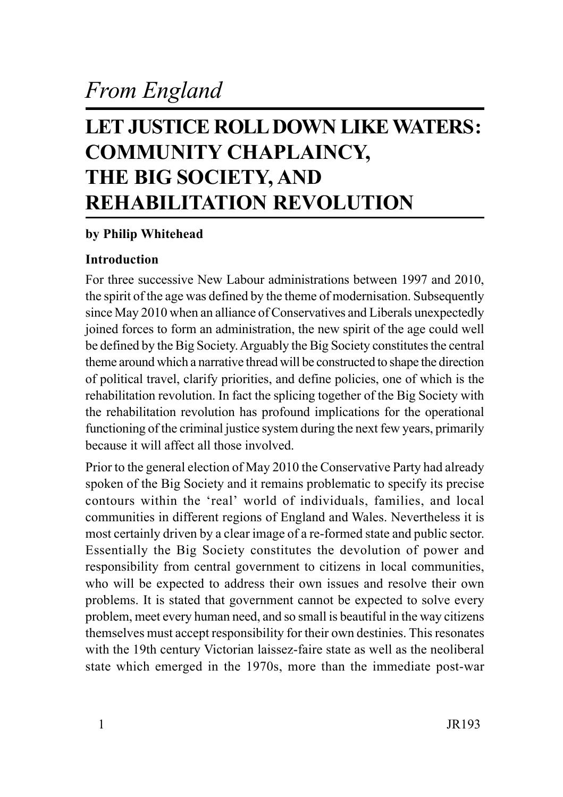# *From England*

## **LET JUSTICE ROLL DOWN LIKE WATERS: COMMUNITY CHAPLAINCY, THE BIG SOCIETY, AND REHABILITATION REVOLUTION**

## **by Philip Whitehead**

## **Introduction**

For three successive New Labour administrations between 1997 and 2010, the spirit of the age was defined by the theme of modernisation. Subsequently since May 2010 when an alliance of Conservatives and Liberals unexpectedly joined forces to form an administration, the new spirit of the age could well be defined by the Big Society. Arguably the Big Society constitutes the central theme around which a narrative thread will be constructed to shape the direction of political travel, clarify priorities, and define policies, one of which is the rehabilitation revolution. In fact the splicing together of the Big Society with the rehabilitation revolution has profound implications for the operational functioning of the criminal justice system during the next few years, primarily because it will affect all those involved.

Prior to the general election of May 2010 the Conservative Party had already spoken of the Big Society and it remains problematic to specify its precise contours within the 'real' world of individuals, families, and local communities in different regions of England and Wales. Nevertheless it is most certainly driven by a clear image of a re-formed state and public sector. Essentially the Big Society constitutes the devolution of power and responsibility from central government to citizens in local communities, who will be expected to address their own issues and resolve their own problems. It is stated that government cannot be expected to solve every problem, meet every human need, and so small is beautiful in the way citizens themselves must accept responsibility for their own destinies. This resonates with the 19th century Victorian laissez-faire state as well as the neoliberal state which emerged in the 1970s, more than the immediate post-war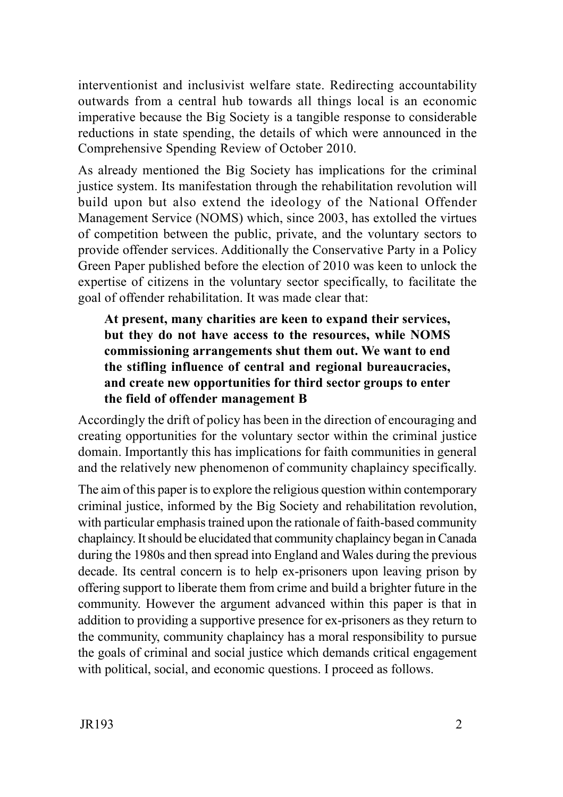interventionist and inclusivist welfare state. Redirecting accountability outwards from a central hub towards all things local is an economic imperative because the Big Society is a tangible response to considerable reductions in state spending, the details of which were announced in the Comprehensive Spending Review of October 2010.

As already mentioned the Big Society has implications for the criminal justice system. Its manifestation through the rehabilitation revolution will build upon but also extend the ideology of the National Offender Management Service (NOMS) which, since 2003, has extolled the virtues of competition between the public, private, and the voluntary sectors to provide offender services. Additionally the Conservative Party in a Policy Green Paper published before the election of 2010 was keen to unlock the expertise of citizens in the voluntary sector specifically, to facilitate the goal of offender rehabilitation. It was made clear that:

**At present, many charities are keen to expand their services, but they do not have access to the resources, while NOMS commissioning arrangements shut them out. We want to end the stifling influence of central and regional bureaucracies, and create new opportunities for third sector groups to enter the field of offender management B**

Accordingly the drift of policy has been in the direction of encouraging and creating opportunities for the voluntary sector within the criminal justice domain. Importantly this has implications for faith communities in general and the relatively new phenomenon of community chaplaincy specifically.

The aim of this paper is to explore the religious question within contemporary criminal justice, informed by the Big Society and rehabilitation revolution, with particular emphasis trained upon the rationale of faith-based community chaplaincy. It should be elucidated that community chaplaincy began in Canada during the 1980s and then spread into England and Wales during the previous decade. Its central concern is to help ex-prisoners upon leaving prison by offering support to liberate them from crime and build a brighter future in the community. However the argument advanced within this paper is that in addition to providing a supportive presence for ex-prisoners as they return to the community, community chaplaincy has a moral responsibility to pursue the goals of criminal and social justice which demands critical engagement with political, social, and economic questions. I proceed as follows.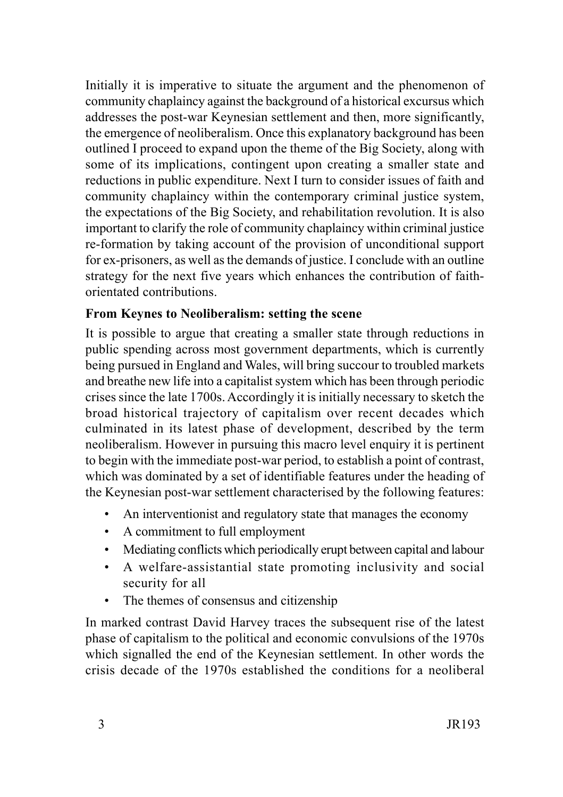Initially it is imperative to situate the argument and the phenomenon of community chaplaincy against the background of a historical excursus which addresses the post-war Keynesian settlement and then, more significantly, the emergence of neoliberalism. Once this explanatory background has been outlined I proceed to expand upon the theme of the Big Society, along with some of its implications, contingent upon creating a smaller state and reductions in public expenditure. Next I turn to consider issues of faith and community chaplaincy within the contemporary criminal justice system, the expectations of the Big Society, and rehabilitation revolution. It is also important to clarify the role of community chaplaincy within criminal justice re-formation by taking account of the provision of unconditional support for ex-prisoners, as well as the demands of justice. I conclude with an outline strategy for the next five years which enhances the contribution of faithorientated contributions.

### **From Keynes to Neoliberalism: setting the scene**

It is possible to argue that creating a smaller state through reductions in public spending across most government departments, which is currently being pursued in England and Wales, will bring succour to troubled markets and breathe new life into a capitalist system which has been through periodic crises since the late 1700s. Accordingly it is initially necessary to sketch the broad historical trajectory of capitalism over recent decades which culminated in its latest phase of development, described by the term neoliberalism. However in pursuing this macro level enquiry it is pertinent to begin with the immediate post-war period, to establish a point of contrast, which was dominated by a set of identifiable features under the heading of the Keynesian post-war settlement characterised by the following features:

- An interventionist and regulatory state that manages the economy
- A commitment to full employment
- Mediating conflicts which periodically erupt between capital and labour
- A welfare-assistantial state promoting inclusivity and social security for all
- The themes of consensus and citizenship

In marked contrast David Harvey traces the subsequent rise of the latest phase of capitalism to the political and economic convulsions of the 1970s which signalled the end of the Keynesian settlement. In other words the crisis decade of the 1970s established the conditions for a neoliberal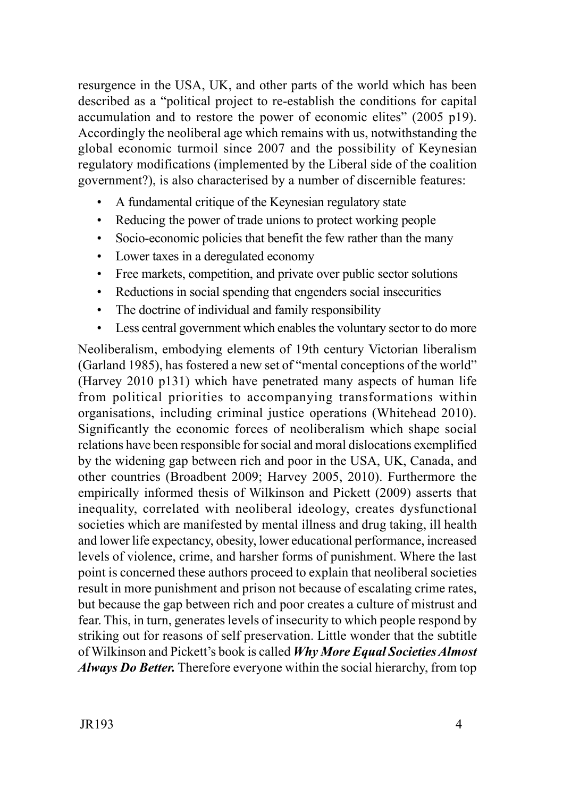resurgence in the USA, UK, and other parts of the world which has been described as a "political project to re-establish the conditions for capital accumulation and to restore the power of economic elites" (2005 p19). Accordingly the neoliberal age which remains with us, notwithstanding the global economic turmoil since 2007 and the possibility of Keynesian regulatory modifications (implemented by the Liberal side of the coalition government?), is also characterised by a number of discernible features:

- A fundamental critique of the Keynesian regulatory state
- Reducing the power of trade unions to protect working people
- Socio-economic policies that benefit the few rather than the many
- Lower taxes in a deregulated economy
- Free markets, competition, and private over public sector solutions
- Reductions in social spending that engenders social insecurities
- The doctrine of individual and family responsibility
- Less central government which enables the voluntary sector to do more

Neoliberalism, embodying elements of 19th century Victorian liberalism (Garland 1985), has fostered a new set of "mental conceptions of the world" (Harvey 2010 p131) which have penetrated many aspects of human life from political priorities to accompanying transformations within organisations, including criminal justice operations (Whitehead 2010). Significantly the economic forces of neoliberalism which shape social relations have been responsible for social and moral dislocations exemplified by the widening gap between rich and poor in the USA, UK, Canada, and other countries (Broadbent 2009; Harvey 2005, 2010). Furthermore the empirically informed thesis of Wilkinson and Pickett (2009) asserts that inequality, correlated with neoliberal ideology, creates dysfunctional societies which are manifested by mental illness and drug taking, ill health and lower life expectancy, obesity, lower educational performance, increased levels of violence, crime, and harsher forms of punishment. Where the last point is concerned these authors proceed to explain that neoliberal societies result in more punishment and prison not because of escalating crime rates, but because the gap between rich and poor creates a culture of mistrust and fear. This, in turn, generates levels of insecurity to which people respond by striking out for reasons of self preservation. Little wonder that the subtitle of Wilkinson and Pickett's book is called *Why More Equal Societies Almost Always Do Better.* Therefore everyone within the social hierarchy, from top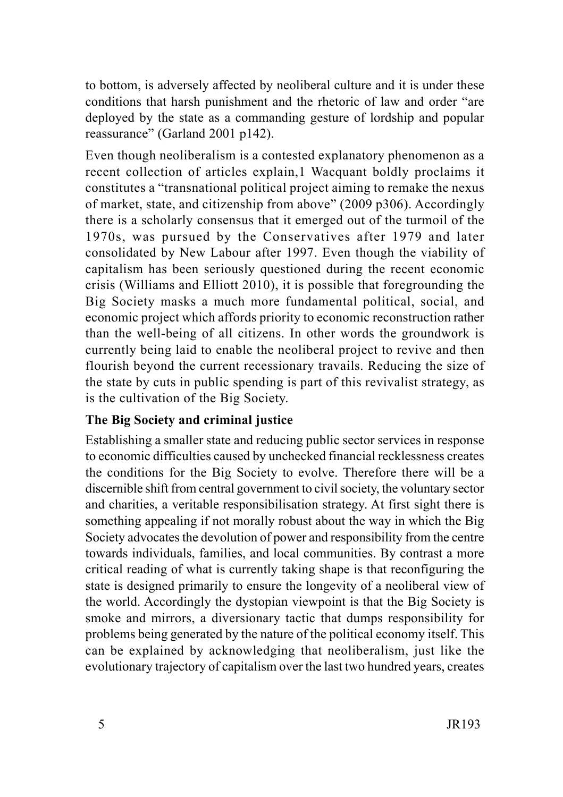to bottom, is adversely affected by neoliberal culture and it is under these conditions that harsh punishment and the rhetoric of law and order "are deployed by the state as a commanding gesture of lordship and popular reassurance" (Garland 2001 p142).

Even though neoliberalism is a contested explanatory phenomenon as a recent collection of articles explain,1 Wacquant boldly proclaims it constitutes a "transnational political project aiming to remake the nexus of market, state, and citizenship from above" (2009 p306). Accordingly there is a scholarly consensus that it emerged out of the turmoil of the 1970s, was pursued by the Conservatives after 1979 and later consolidated by New Labour after 1997. Even though the viability of capitalism has been seriously questioned during the recent economic crisis (Williams and Elliott 2010), it is possible that foregrounding the Big Society masks a much more fundamental political, social, and economic project which affords priority to economic reconstruction rather than the well-being of all citizens. In other words the groundwork is currently being laid to enable the neoliberal project to revive and then flourish beyond the current recessionary travails. Reducing the size of the state by cuts in public spending is part of this revivalist strategy, as is the cultivation of the Big Society.

## **The Big Society and criminal justice**

Establishing a smaller state and reducing public sector services in response to economic difficulties caused by unchecked financial recklessness creates the conditions for the Big Society to evolve. Therefore there will be a discernible shift from central government to civil society, the voluntary sector and charities, a veritable responsibilisation strategy. At first sight there is something appealing if not morally robust about the way in which the Big Society advocates the devolution of power and responsibility from the centre towards individuals, families, and local communities. By contrast a more critical reading of what is currently taking shape is that reconfiguring the state is designed primarily to ensure the longevity of a neoliberal view of the world. Accordingly the dystopian viewpoint is that the Big Society is smoke and mirrors, a diversionary tactic that dumps responsibility for problems being generated by the nature of the political economy itself. This can be explained by acknowledging that neoliberalism, just like the evolutionary trajectory of capitalism over the last two hundred years, creates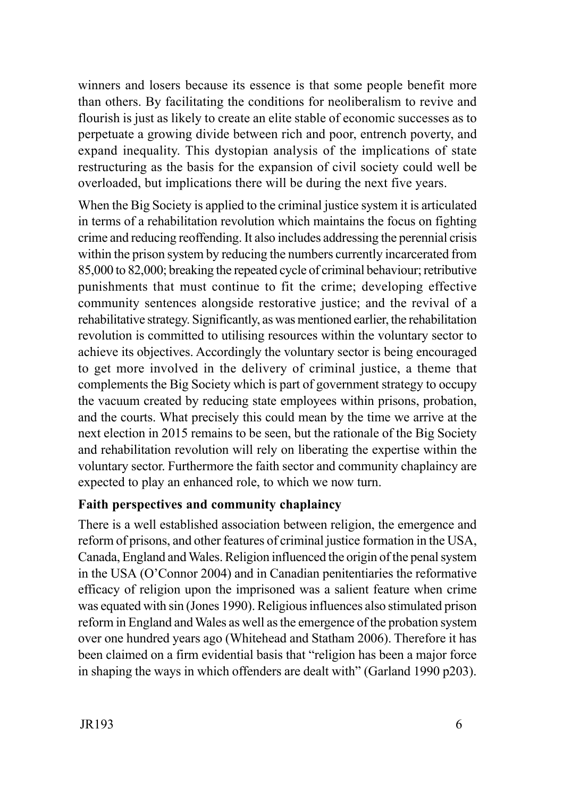winners and losers because its essence is that some people benefit more than others. By facilitating the conditions for neoliberalism to revive and flourish is just as likely to create an elite stable of economic successes as to perpetuate a growing divide between rich and poor, entrench poverty, and expand inequality. This dystopian analysis of the implications of state restructuring as the basis for the expansion of civil society could well be overloaded, but implications there will be during the next five years.

When the Big Society is applied to the criminal justice system it is articulated in terms of a rehabilitation revolution which maintains the focus on fighting crime and reducing reoffending. It also includes addressing the perennial crisis within the prison system by reducing the numbers currently incarcerated from 85,000 to 82,000; breaking the repeated cycle of criminal behaviour; retributive punishments that must continue to fit the crime; developing effective community sentences alongside restorative justice; and the revival of a rehabilitative strategy. Significantly, as was mentioned earlier, the rehabilitation revolution is committed to utilising resources within the voluntary sector to achieve its objectives. Accordingly the voluntary sector is being encouraged to get more involved in the delivery of criminal justice, a theme that complements the Big Society which is part of government strategy to occupy the vacuum created by reducing state employees within prisons, probation, and the courts. What precisely this could mean by the time we arrive at the next election in 2015 remains to be seen, but the rationale of the Big Society and rehabilitation revolution will rely on liberating the expertise within the voluntary sector. Furthermore the faith sector and community chaplaincy are expected to play an enhanced role, to which we now turn.

#### **Faith perspectives and community chaplaincy**

There is a well established association between religion, the emergence and reform of prisons, and other features of criminal justice formation in the USA, Canada, England and Wales. Religion influenced the origin of the penal system in the USA (O'Connor 2004) and in Canadian penitentiaries the reformative efficacy of religion upon the imprisoned was a salient feature when crime was equated with sin (Jones 1990). Religious influences also stimulated prison reform in England and Wales as well as the emergence of the probation system over one hundred years ago (Whitehead and Statham 2006). Therefore it has been claimed on a firm evidential basis that "religion has been a major force in shaping the ways in which offenders are dealt with" (Garland 1990 p203).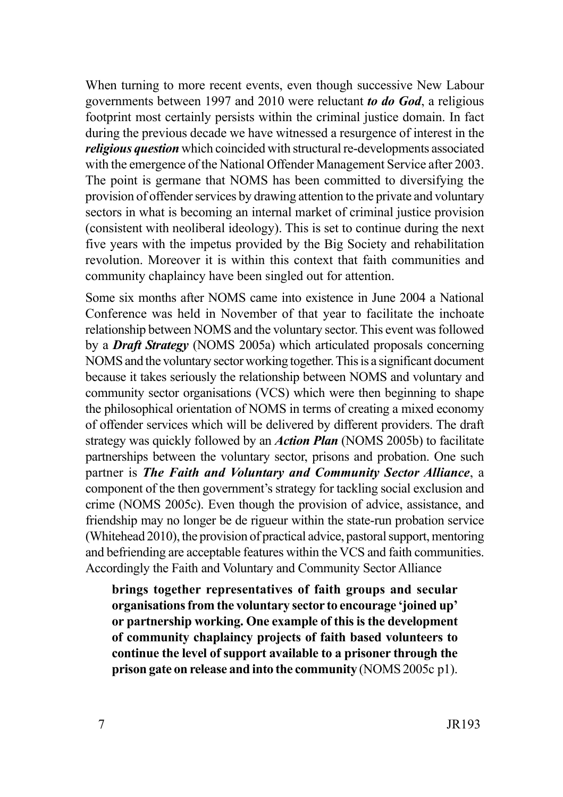When turning to more recent events, even though successive New Labour governments between 1997 and 2010 were reluctant *to do God*, a religious footprint most certainly persists within the criminal justice domain. In fact during the previous decade we have witnessed a resurgence of interest in the *religious question* which coincided with structural re-developments associated with the emergence of the National Offender Management Service after 2003. The point is germane that NOMS has been committed to diversifying the provision of offender services by drawing attention to the private and voluntary sectors in what is becoming an internal market of criminal justice provision (consistent with neoliberal ideology). This is set to continue during the next five years with the impetus provided by the Big Society and rehabilitation revolution. Moreover it is within this context that faith communities and community chaplaincy have been singled out for attention.

Some six months after NOMS came into existence in June 2004 a National Conference was held in November of that year to facilitate the inchoate relationship between NOMS and the voluntary sector. This event was followed by a *Draft Strategy* (NOMS 2005a) which articulated proposals concerning NOMS and the voluntary sector working together. This is a significant document because it takes seriously the relationship between NOMS and voluntary and community sector organisations (VCS) which were then beginning to shape the philosophical orientation of NOMS in terms of creating a mixed economy of offender services which will be delivered by different providers. The draft strategy was quickly followed by an *Action Plan* (NOMS 2005b) to facilitate partnerships between the voluntary sector, prisons and probation. One such partner is *The Faith and Voluntary and Community Sector Alliance*, a component of the then government's strategy for tackling social exclusion and crime (NOMS 2005c). Even though the provision of advice, assistance, and friendship may no longer be de rigueur within the state-run probation service (Whitehead 2010), the provision of practical advice, pastoral support, mentoring and befriending are acceptable features within the VCS and faith communities. Accordingly the Faith and Voluntary and Community Sector Alliance

**brings together representatives of faith groups and secular organisations from the voluntary sector to encourage 'joined up' or partnership working. One example of this is the development of community chaplaincy projects of faith based volunteers to continue the level of support available to a prisoner through the prison gate on release and into the community** (NOMS 2005c p1).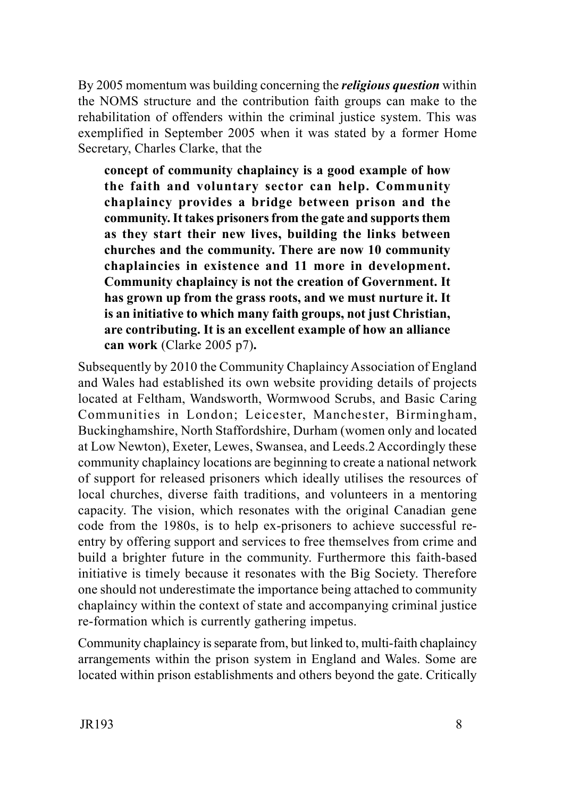By 2005 momentum was building concerning the *religious question* within the NOMS structure and the contribution faith groups can make to the rehabilitation of offenders within the criminal justice system. This was exemplified in September 2005 when it was stated by a former Home Secretary, Charles Clarke, that the

**concept of community chaplaincy is a good example of how the faith and voluntary sector can help. Community chaplaincy provides a bridge between prison and the community. It takes prisoners from the gate and supports them as they start their new lives, building the links between churches and the community. There are now 10 community chaplaincies in existence and 11 more in development. Community chaplaincy is not the creation of Government. It has grown up from the grass roots, and we must nurture it. It is an initiative to which many faith groups, not just Christian, are contributing. It is an excellent example of how an alliance can work** (Clarke 2005 p7)**.**

Subsequently by 2010 the Community Chaplaincy Association of England and Wales had established its own website providing details of projects located at Feltham, Wandsworth, Wormwood Scrubs, and Basic Caring Communities in London; Leicester, Manchester, Birmingham, Buckinghamshire, North Staffordshire, Durham (women only and located at Low Newton), Exeter, Lewes, Swansea, and Leeds.2 Accordingly these community chaplaincy locations are beginning to create a national network of support for released prisoners which ideally utilises the resources of local churches, diverse faith traditions, and volunteers in a mentoring capacity. The vision, which resonates with the original Canadian gene code from the 1980s, is to help ex-prisoners to achieve successful reentry by offering support and services to free themselves from crime and build a brighter future in the community. Furthermore this faith-based initiative is timely because it resonates with the Big Society. Therefore one should not underestimate the importance being attached to community chaplaincy within the context of state and accompanying criminal justice re-formation which is currently gathering impetus.

Community chaplaincy is separate from, but linked to, multi-faith chaplaincy arrangements within the prison system in England and Wales. Some are located within prison establishments and others beyond the gate. Critically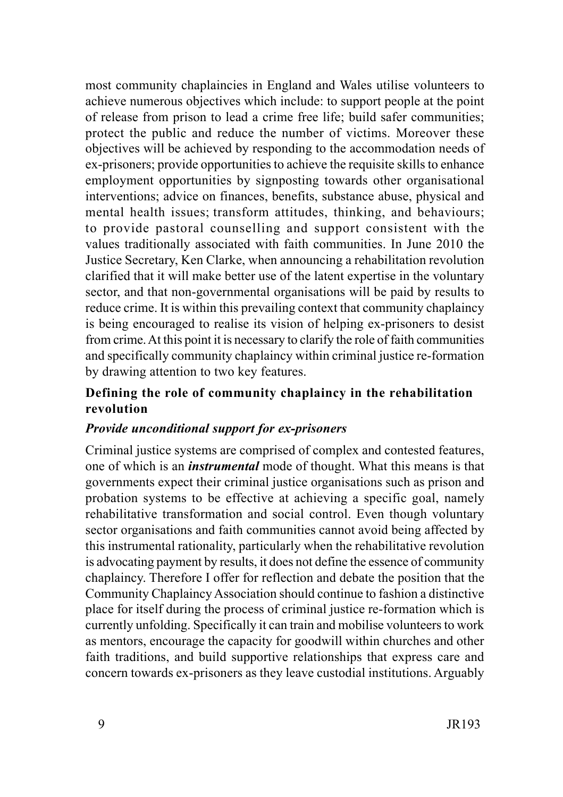most community chaplaincies in England and Wales utilise volunteers to achieve numerous objectives which include: to support people at the point of release from prison to lead a crime free life; build safer communities; protect the public and reduce the number of victims. Moreover these objectives will be achieved by responding to the accommodation needs of ex-prisoners; provide opportunities to achieve the requisite skills to enhance employment opportunities by signposting towards other organisational interventions; advice on finances, benefits, substance abuse, physical and mental health issues; transform attitudes, thinking, and behaviours; to provide pastoral counselling and support consistent with the values traditionally associated with faith communities. In June 2010 the Justice Secretary, Ken Clarke, when announcing a rehabilitation revolution clarified that it will make better use of the latent expertise in the voluntary sector, and that non-governmental organisations will be paid by results to reduce crime. It is within this prevailing context that community chaplaincy is being encouraged to realise its vision of helping ex-prisoners to desist from crime. At this point it is necessary to clarify the role of faith communities and specifically community chaplaincy within criminal justice re-formation by drawing attention to two key features.

### **Defining the role of community chaplaincy in the rehabilitation revolution**

#### *Provide unconditional support for ex-prisoners*

Criminal justice systems are comprised of complex and contested features, one of which is an *instrumental* mode of thought. What this means is that governments expect their criminal justice organisations such as prison and probation systems to be effective at achieving a specific goal, namely rehabilitative transformation and social control. Even though voluntary sector organisations and faith communities cannot avoid being affected by this instrumental rationality, particularly when the rehabilitative revolution is advocating payment by results, it does not define the essence of community chaplaincy. Therefore I offer for reflection and debate the position that the Community Chaplaincy Association should continue to fashion a distinctive place for itself during the process of criminal justice re-formation which is currently unfolding. Specifically it can train and mobilise volunteers to work as mentors, encourage the capacity for goodwill within churches and other faith traditions, and build supportive relationships that express care and concern towards ex-prisoners as they leave custodial institutions. Arguably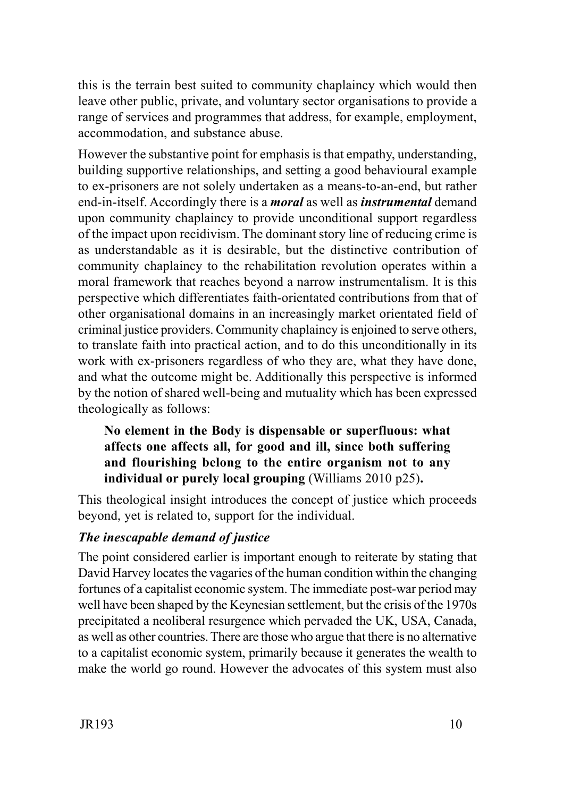this is the terrain best suited to community chaplaincy which would then leave other public, private, and voluntary sector organisations to provide a range of services and programmes that address, for example, employment, accommodation, and substance abuse.

However the substantive point for emphasis is that empathy, understanding, building supportive relationships, and setting a good behavioural example to ex-prisoners are not solely undertaken as a means-to-an-end, but rather end-in-itself. Accordingly there is a *moral* as well as *instrumental* demand upon community chaplaincy to provide unconditional support regardless of the impact upon recidivism. The dominant story line of reducing crime is as understandable as it is desirable, but the distinctive contribution of community chaplaincy to the rehabilitation revolution operates within a moral framework that reaches beyond a narrow instrumentalism. It is this perspective which differentiates faith-orientated contributions from that of other organisational domains in an increasingly market orientated field of criminal justice providers. Community chaplaincy is enjoined to serve others, to translate faith into practical action, and to do this unconditionally in its work with ex-prisoners regardless of who they are, what they have done, and what the outcome might be. Additionally this perspective is informed by the notion of shared well-being and mutuality which has been expressed theologically as follows:

## **No element in the Body is dispensable or superfluous: what affects one affects all, for good and ill, since both suffering and flourishing belong to the entire organism not to any individual or purely local grouping** (Williams 2010 p25)**.**

This theological insight introduces the concept of justice which proceeds beyond, yet is related to, support for the individual.

#### *The inescapable demand of justice*

The point considered earlier is important enough to reiterate by stating that David Harvey locates the vagaries of the human condition within the changing fortunes of a capitalist economic system. The immediate post-war period may well have been shaped by the Keynesian settlement, but the crisis of the 1970s precipitated a neoliberal resurgence which pervaded the UK, USA, Canada, as well as other countries. There are those who argue that there is no alternative to a capitalist economic system, primarily because it generates the wealth to make the world go round. However the advocates of this system must also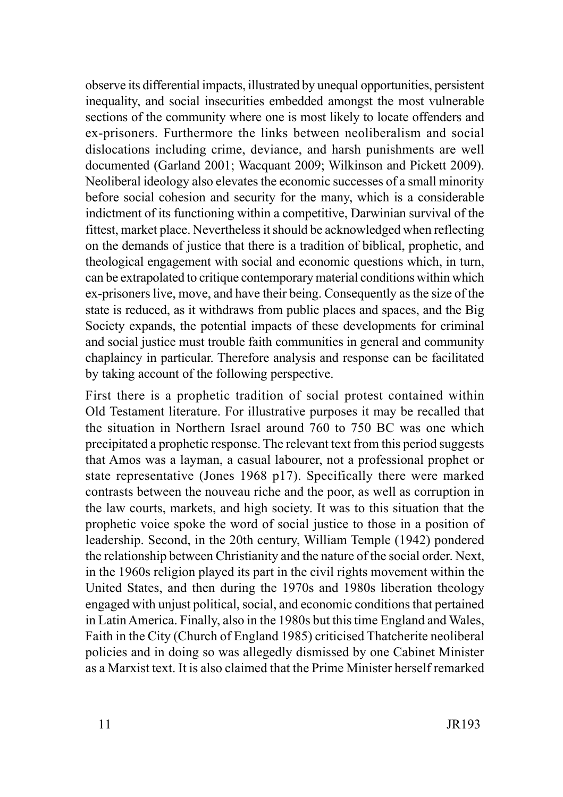observe its differential impacts, illustrated by unequal opportunities, persistent inequality, and social insecurities embedded amongst the most vulnerable sections of the community where one is most likely to locate offenders and ex-prisoners. Furthermore the links between neoliberalism and social dislocations including crime, deviance, and harsh punishments are well documented (Garland 2001; Wacquant 2009; Wilkinson and Pickett 2009). Neoliberal ideology also elevates the economic successes of a small minority before social cohesion and security for the many, which is a considerable indictment of its functioning within a competitive, Darwinian survival of the fittest, market place. Nevertheless it should be acknowledged when reflecting on the demands of justice that there is a tradition of biblical, prophetic, and theological engagement with social and economic questions which, in turn, can be extrapolated to critique contemporary material conditions within which ex-prisoners live, move, and have their being. Consequently as the size of the state is reduced, as it withdraws from public places and spaces, and the Big Society expands, the potential impacts of these developments for criminal and social justice must trouble faith communities in general and community chaplaincy in particular. Therefore analysis and response can be facilitated by taking account of the following perspective.

First there is a prophetic tradition of social protest contained within Old Testament literature. For illustrative purposes it may be recalled that the situation in Northern Israel around 760 to 750 BC was one which precipitated a prophetic response. The relevant text from this period suggests that Amos was a layman, a casual labourer, not a professional prophet or state representative (Jones 1968 p17). Specifically there were marked contrasts between the nouveau riche and the poor, as well as corruption in the law courts, markets, and high society. It was to this situation that the prophetic voice spoke the word of social justice to those in a position of leadership. Second, in the 20th century, William Temple (1942) pondered the relationship between Christianity and the nature of the social order. Next, in the 1960s religion played its part in the civil rights movement within the United States, and then during the 1970s and 1980s liberation theology engaged with unjust political, social, and economic conditions that pertained in Latin America. Finally, also in the 1980s but this time England and Wales, Faith in the City (Church of England 1985) criticised Thatcherite neoliberal policies and in doing so was allegedly dismissed by one Cabinet Minister as a Marxist text. It is also claimed that the Prime Minister herself remarked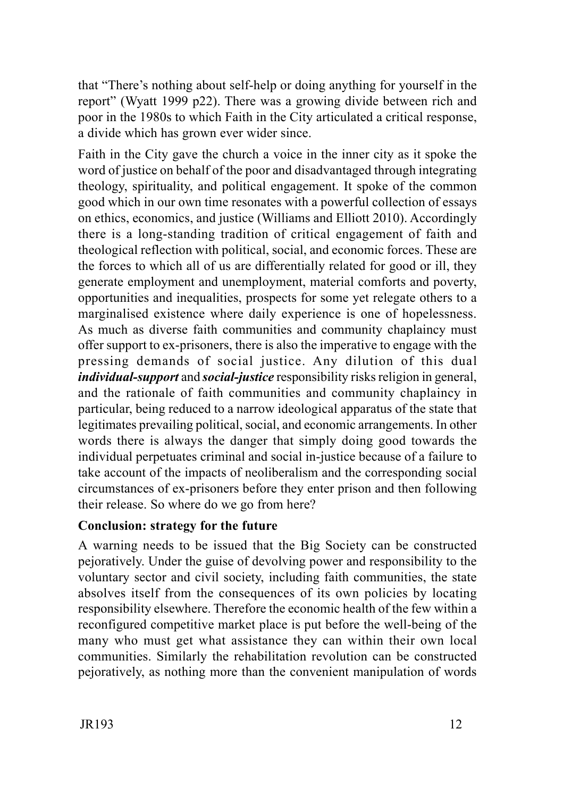that "There's nothing about self-help or doing anything for yourself in the report" (Wyatt 1999 p22). There was a growing divide between rich and poor in the 1980s to which Faith in the City articulated a critical response, a divide which has grown ever wider since.

Faith in the City gave the church a voice in the inner city as it spoke the word of justice on behalf of the poor and disadvantaged through integrating theology, spirituality, and political engagement. It spoke of the common good which in our own time resonates with a powerful collection of essays on ethics, economics, and justice (Williams and Elliott 2010). Accordingly there is a long-standing tradition of critical engagement of faith and theological reflection with political, social, and economic forces. These are the forces to which all of us are differentially related for good or ill, they generate employment and unemployment, material comforts and poverty, opportunities and inequalities, prospects for some yet relegate others to a marginalised existence where daily experience is one of hopelessness. As much as diverse faith communities and community chaplaincy must offer support to ex-prisoners, there is also the imperative to engage with the pressing demands of social justice. Any dilution of this dual *individual-support* and *social-justice* responsibility risks religion in general, and the rationale of faith communities and community chaplaincy in particular, being reduced to a narrow ideological apparatus of the state that legitimates prevailing political, social, and economic arrangements. In other words there is always the danger that simply doing good towards the individual perpetuates criminal and social in-justice because of a failure to take account of the impacts of neoliberalism and the corresponding social circumstances of ex-prisoners before they enter prison and then following their release. So where do we go from here?

## **Conclusion: strategy for the future**

A warning needs to be issued that the Big Society can be constructed pejoratively. Under the guise of devolving power and responsibility to the voluntary sector and civil society, including faith communities, the state absolves itself from the consequences of its own policies by locating responsibility elsewhere. Therefore the economic health of the few within a reconfigured competitive market place is put before the well-being of the many who must get what assistance they can within their own local communities. Similarly the rehabilitation revolution can be constructed pejoratively, as nothing more than the convenient manipulation of words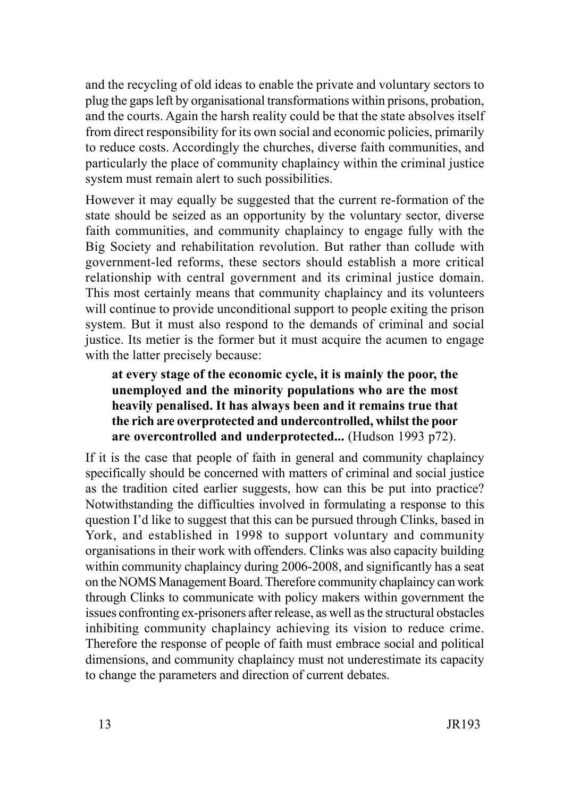and the recycling of old ideas to enable the private and voluntary sectors to plug the gaps left by organisational transformations within prisons, probation, and the courts. Again the harsh reality could be that the state absolves itself from direct responsibility for its own social and economic policies, primarily to reduce costs. Accordingly the churches, diverse faith communities, and particularly the place of community chaplaincy within the criminal justice system must remain alert to such possibilities.

However it may equally be suggested that the current re-formation of the state should be seized as an opportunity by the voluntary sector, diverse faith communities, and community chaplaincy to engage fully with the Big Society and rehabilitation revolution. But rather than collude with government-led reforms, these sectors should establish a more critical relationship with central government and its criminal justice domain. This most certainly means that community chaplaincy and its volunteers will continue to provide unconditional support to people exiting the prison system. But it must also respond to the demands of criminal and social justice. Its metier is the former but it must acquire the acumen to engage with the latter precisely because:

## **at every stage of the economic cycle, it is mainly the poor, the unemployed and the minority populations who are the most heavily penalised. It has always been and it remains true that the rich are overprotected and undercontrolled, whilst the poor are overcontrolled and underprotected...** (Hudson 1993 p72).

If it is the case that people of faith in general and community chaplaincy specifically should be concerned with matters of criminal and social justice as the tradition cited earlier suggests, how can this be put into practice? Notwithstanding the difficulties involved in formulating a response to this question I'd like to suggest that this can be pursued through Clinks, based in York, and established in 1998 to support voluntary and community organisations in their work with offenders. Clinks was also capacity building within community chaplaincy during 2006-2008, and significantly has a seat on the NOMS Management Board. Therefore community chaplaincy can work through Clinks to communicate with policy makers within government the issues confronting ex-prisoners after release, as well as the structural obstacles inhibiting community chaplaincy achieving its vision to reduce crime. Therefore the response of people of faith must embrace social and political dimensions, and community chaplaincy must not underestimate its capacity to change the parameters and direction of current debates.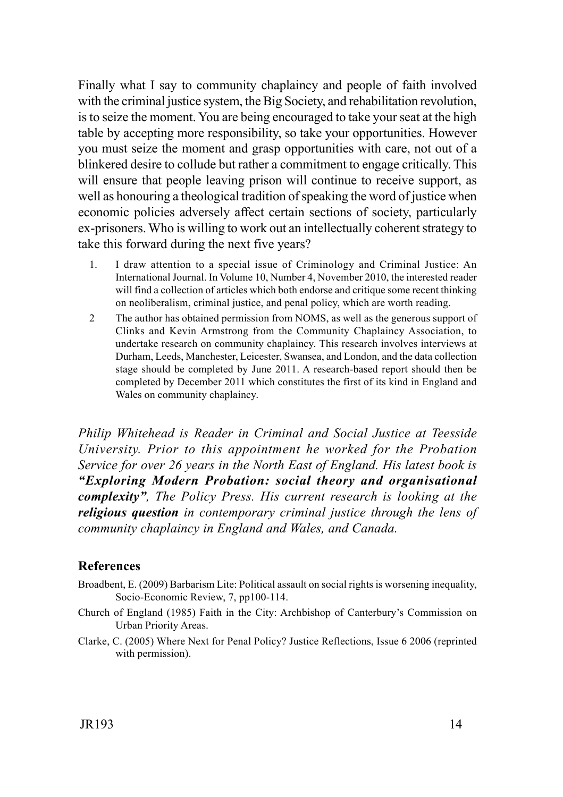Finally what I say to community chaplaincy and people of faith involved with the criminal justice system, the Big Society, and rehabilitation revolution, is to seize the moment. You are being encouraged to take your seat at the high table by accepting more responsibility, so take your opportunities. However you must seize the moment and grasp opportunities with care, not out of a blinkered desire to collude but rather a commitment to engage critically. This will ensure that people leaving prison will continue to receive support, as well as honouring a theological tradition of speaking the word of justice when economic policies adversely affect certain sections of society, particularly ex-prisoners. Who is willing to work out an intellectually coherent strategy to take this forward during the next five years?

- 1. I draw attention to a special issue of Criminology and Criminal Justice: An International Journal. In Volume 10, Number 4, November 2010, the interested reader will find a collection of articles which both endorse and critique some recent thinking on neoliberalism, criminal justice, and penal policy, which are worth reading.
- 2 The author has obtained permission from NOMS, as well as the generous support of Clinks and Kevin Armstrong from the Community Chaplaincy Association, to undertake research on community chaplaincy. This research involves interviews at Durham, Leeds, Manchester, Leicester, Swansea, and London, and the data collection stage should be completed by June 2011. A research-based report should then be completed by December 2011 which constitutes the first of its kind in England and Wales on community chaplaincy.

*Philip Whitehead is Reader in Criminal and Social Justice at Teesside University. Prior to this appointment he worked for the Probation Service for over 26 years in the North East of England. His latest book is "Exploring Modern Probation: social theory and organisational complexity", The Policy Press. His current research is looking at the religious question in contemporary criminal justice through the lens of community chaplaincy in England and Wales, and Canada.*

#### **References**

- Broadbent, E. (2009) Barbarism Lite: Political assault on social rights is worsening inequality, Socio-Economic Review, 7, pp100-114.
- Church of England (1985) Faith in the City: Archbishop of Canterbury's Commission on Urban Priority Areas.
- Clarke, C. (2005) Where Next for Penal Policy? Justice Reflections, Issue 6 2006 (reprinted with permission).